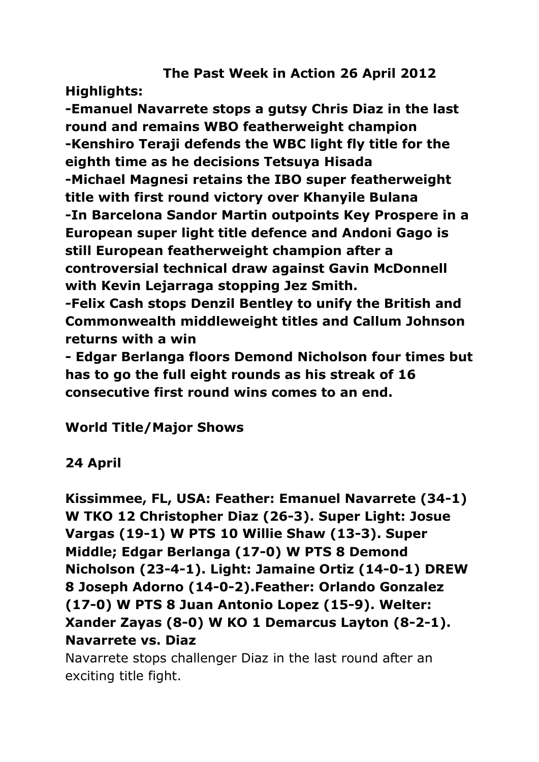# **The Past Week in Action 26 April 2012**

**Highlights:**

**-Emanuel Navarrete stops a gutsy Chris Diaz in the last round and remains WBO featherweight champion -Kenshiro Teraji defends the WBC light fly title for the eighth time as he decisions Tetsuya Hisada -Michael Magnesi retains the IBO super featherweight title with first round victory over Khanyile Bulana -In Barcelona Sandor Martin outpoints Key Prospere in a European super light title defence and Andoni Gago is still European featherweight champion after a controversial technical draw against Gavin McDonnell with Kevin Lejarraga stopping Jez Smith.**

**-Felix Cash stops Denzil Bentley to unify the British and Commonwealth middleweight titles and Callum Johnson returns with a win**

**- Edgar Berlanga floors Demond Nicholson four times but has to go the full eight rounds as his streak of 16 consecutive first round wins comes to an end.**

**World Title/Major Shows**

# **24 April**

**Kissimmee, FL, USA: Feather: Emanuel Navarrete (34-1) W TKO 12 Christopher Diaz (26-3). Super Light: Josue Vargas (19-1) W PTS 10 Willie Shaw (13-3). Super Middle; Edgar Berlanga (17-0) W PTS 8 Demond Nicholson (23-4-1). Light: Jamaine Ortiz (14-0-1) DREW 8 Joseph Adorno (14-0-2).Feather: Orlando Gonzalez (17-0) W PTS 8 Juan Antonio Lopez (15-9). Welter: Xander Zayas (8-0) W KO 1 Demarcus Layton (8-2-1). Navarrete vs. Diaz**

Navarrete stops challenger Diaz in the last round after an exciting title fight.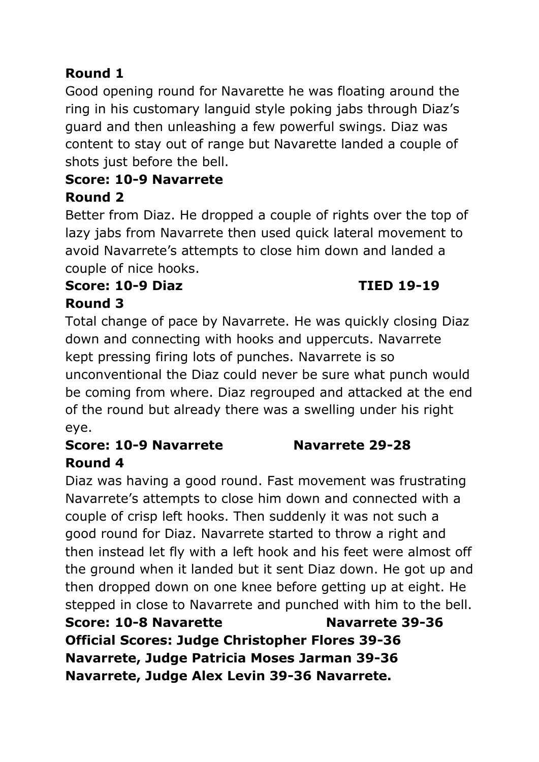# **Round 1**

Good opening round for Navarette he was floating around the ring in his customary languid style poking jabs through Diaz's guard and then unleashing a few powerful swings. Diaz was content to stay out of range but Navarette landed a couple of shots just before the bell.

# **Score: 10-9 Navarrete**

#### **Round 2**

Better from Diaz. He dropped a couple of rights over the top of lazy jabs from Navarrete then used quick lateral movement to avoid Navarrete's attempts to close him down and landed a couple of nice hooks.

### **Score: 10-9 Diaz TIED 19-19 Round 3**

Total change of pace by Navarrete. He was quickly closing Diaz down and connecting with hooks and uppercuts. Navarrete kept pressing firing lots of punches. Navarrete is so unconventional the Diaz could never be sure what punch would be coming from where. Diaz regrouped and attacked at the end of the round but already there was a swelling under his right eye.

### **Score: 10-9 Navarrete Navarrete 29-28 Round 4**

Diaz was having a good round. Fast movement was frustrating Navarrete's attempts to close him down and connected with a couple of crisp left hooks. Then suddenly it was not such a good round for Diaz. Navarrete started to throw a right and then instead let fly with a left hook and his feet were almost off the ground when it landed but it sent Diaz down. He got up and then dropped down on one knee before getting up at eight. He stepped in close to Navarrete and punched with him to the bell. **Score: 10-8 Navarette Navarrete 39-36 Official Scores: Judge Christopher Flores 39-36** 

**Navarrete, Judge Patricia Moses Jarman 39-36 Navarrete, Judge Alex Levin 39-36 Navarrete.**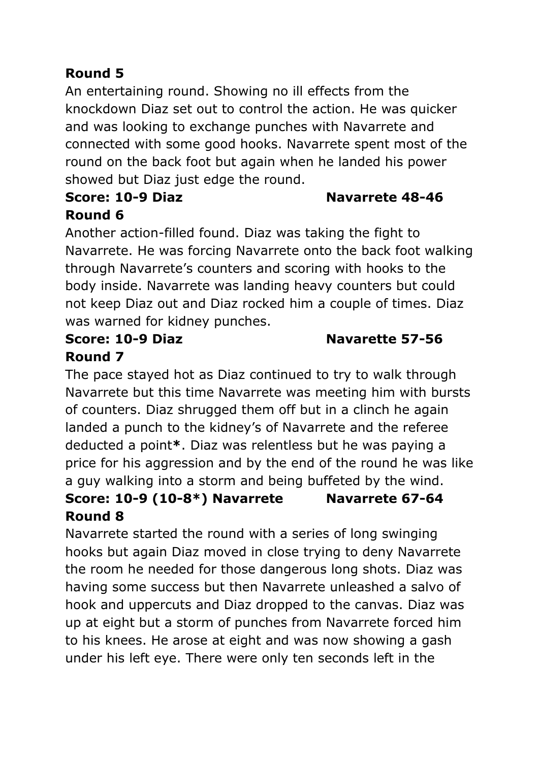# **Round 5**

An entertaining round. Showing no ill effects from the knockdown Diaz set out to control the action. He was quicker and was looking to exchange punches with Navarrete and connected with some good hooks. Navarrete spent most of the round on the back foot but again when he landed his power showed but Diaz just edge the round.

#### **Score: 10-9 Diaz Navarrete 48-46 Round 6**

Another action-filled found. Diaz was taking the fight to Navarrete. He was forcing Navarrete onto the back foot walking through Navarrete's counters and scoring with hooks to the body inside. Navarrete was landing heavy counters but could not keep Diaz out and Diaz rocked him a couple of times. Diaz was warned for kidney punches.

# **Round 7**

# The pace stayed hot as Diaz continued to try to walk through Navarrete but this time Navarrete was meeting him with bursts of counters. Diaz shrugged them off but in a clinch he again landed a punch to the kidney's of Navarrete and the referee deducted a point**\***. Diaz was relentless but he was paying a price for his aggression and by the end of the round he was like a guy walking into a storm and being buffeted by the wind.

### **Score: 10-9 (10-8\*) Navarrete Navarrete 67-64 Round 8**

Navarrete started the round with a series of long swinging hooks but again Diaz moved in close trying to deny Navarrete the room he needed for those dangerous long shots. Diaz was having some success but then Navarrete unleashed a salvo of hook and uppercuts and Diaz dropped to the canvas. Diaz was up at eight but a storm of punches from Navarrete forced him to his knees. He arose at eight and was now showing a gash under his left eye. There were only ten seconds left in the

#### **Score: 10-9 Diaz Navarette 57-56**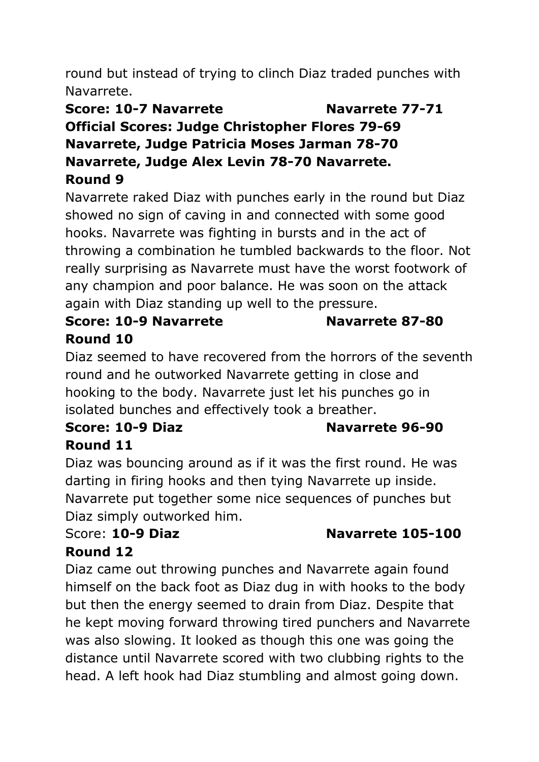round but instead of trying to clinch Diaz traded punches with Navarrete.

#### **Score: 10-7 Navarrete Navarrete 77-71**

**Official Scores: Judge Christopher Flores 79-69 Navarrete, Judge Patricia Moses Jarman 78-70 Navarrete, Judge Alex Levin 78-70 Navarrete. Round 9**

Navarrete raked Diaz with punches early in the round but Diaz showed no sign of caving in and connected with some good hooks. Navarrete was fighting in bursts and in the act of throwing a combination he tumbled backwards to the floor. Not really surprising as Navarrete must have the worst footwork of any champion and poor balance. He was soon on the attack again with Diaz standing up well to the pressure.

# **Score: 10-9 Navarrete Navarrete 87-80 Round 10**

Diaz seemed to have recovered from the horrors of the seventh round and he outworked Navarrete getting in close and hooking to the body. Navarrete just let his punches go in isolated bunches and effectively took a breather.

# **Score: 10-9 Diaz Navarrete 96-90 Round 11**

Diaz was bouncing around as if it was the first round. He was darting in firing hooks and then tying Navarrete up inside. Navarrete put together some nice sequences of punches but Diaz simply outworked him.

# Score: **10-9 Diaz Navarrete 105-100**

# **Round 12**

Diaz came out throwing punches and Navarrete again found himself on the back foot as Diaz dug in with hooks to the body but then the energy seemed to drain from Diaz. Despite that he kept moving forward throwing tired punchers and Navarrete was also slowing. It looked as though this one was going the distance until Navarrete scored with two clubbing rights to the head. A left hook had Diaz stumbling and almost going down.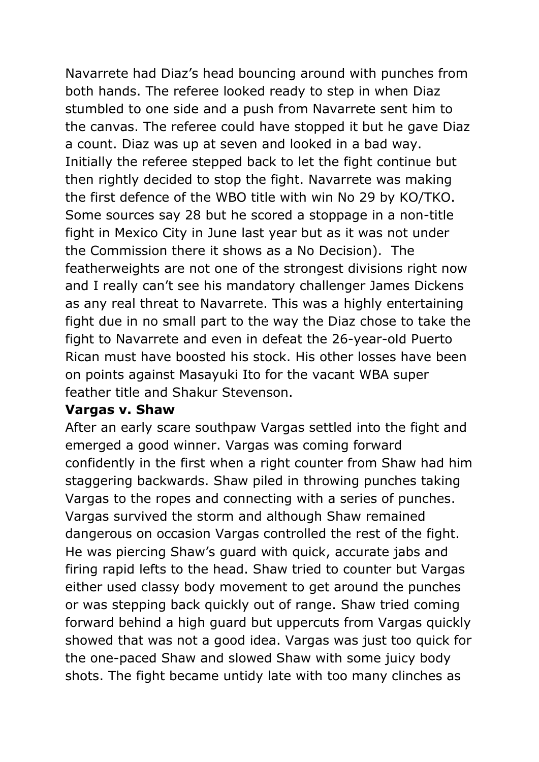Navarrete had Diaz's head bouncing around with punches from both hands. The referee looked ready to step in when Diaz stumbled to one side and a push from Navarrete sent him to the canvas. The referee could have stopped it but he gave Diaz a count. Diaz was up at seven and looked in a bad way. Initially the referee stepped back to let the fight continue but then rightly decided to stop the fight. Navarrete was making the first defence of the WBO title with win No 29 by KO/TKO. Some sources say 28 but he scored a stoppage in a non-title fight in Mexico City in June last year but as it was not under the Commission there it shows as a No Decision). The featherweights are not one of the strongest divisions right now and I really can't see his mandatory challenger James Dickens as any real threat to Navarrete. This was a highly entertaining fight due in no small part to the way the Diaz chose to take the fight to Navarrete and even in defeat the 26-year-old Puerto Rican must have boosted his stock. His other losses have been on points against Masayuki Ito for the vacant WBA super feather title and Shakur Stevenson.

#### **Vargas v. Shaw**

After an early scare southpaw Vargas settled into the fight and emerged a good winner. Vargas was coming forward confidently in the first when a right counter from Shaw had him staggering backwards. Shaw piled in throwing punches taking Vargas to the ropes and connecting with a series of punches. Vargas survived the storm and although Shaw remained dangerous on occasion Vargas controlled the rest of the fight. He was piercing Shaw's guard with quick, accurate jabs and firing rapid lefts to the head. Shaw tried to counter but Vargas either used classy body movement to get around the punches or was stepping back quickly out of range. Shaw tried coming forward behind a high guard but uppercuts from Vargas quickly showed that was not a good idea. Vargas was just too quick for the one-paced Shaw and slowed Shaw with some juicy body shots. The fight became untidy late with too many clinches as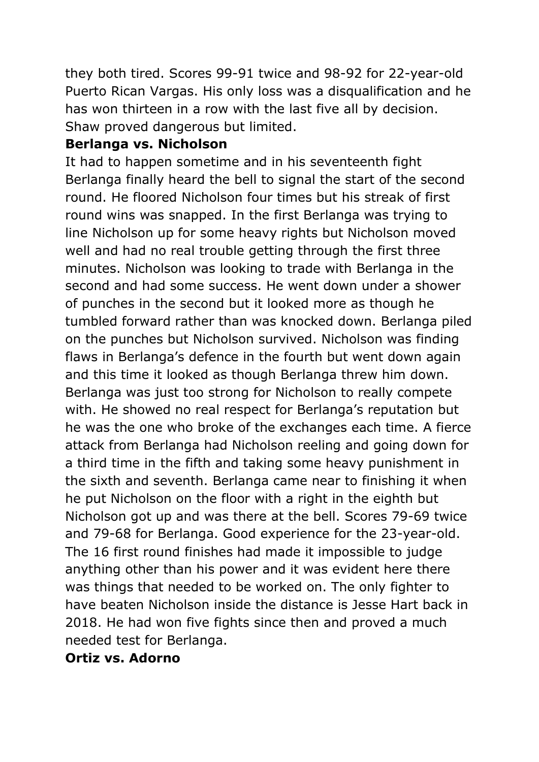they both tired. Scores 99-91 twice and 98-92 for 22-year-old Puerto Rican Vargas. His only loss was a disqualification and he has won thirteen in a row with the last five all by decision. Shaw proved dangerous but limited.

#### **Berlanga vs. Nicholson**

It had to happen sometime and in his seventeenth fight Berlanga finally heard the bell to signal the start of the second round. He floored Nicholson four times but his streak of first round wins was snapped. In the first Berlanga was trying to line Nicholson up for some heavy rights but Nicholson moved well and had no real trouble getting through the first three minutes. Nicholson was looking to trade with Berlanga in the second and had some success. He went down under a shower of punches in the second but it looked more as though he tumbled forward rather than was knocked down. Berlanga piled on the punches but Nicholson survived. Nicholson was finding flaws in Berlanga's defence in the fourth but went down again and this time it looked as though Berlanga threw him down. Berlanga was just too strong for Nicholson to really compete with. He showed no real respect for Berlanga's reputation but he was the one who broke of the exchanges each time. A fierce attack from Berlanga had Nicholson reeling and going down for a third time in the fifth and taking some heavy punishment in the sixth and seventh. Berlanga came near to finishing it when he put Nicholson on the floor with a right in the eighth but Nicholson got up and was there at the bell. Scores 79-69 twice and 79-68 for Berlanga. Good experience for the 23-year-old. The 16 first round finishes had made it impossible to judge anything other than his power and it was evident here there was things that needed to be worked on. The only fighter to have beaten Nicholson inside the distance is Jesse Hart back in 2018. He had won five fights since then and proved a much needed test for Berlanga.

#### **Ortiz vs. Adorno**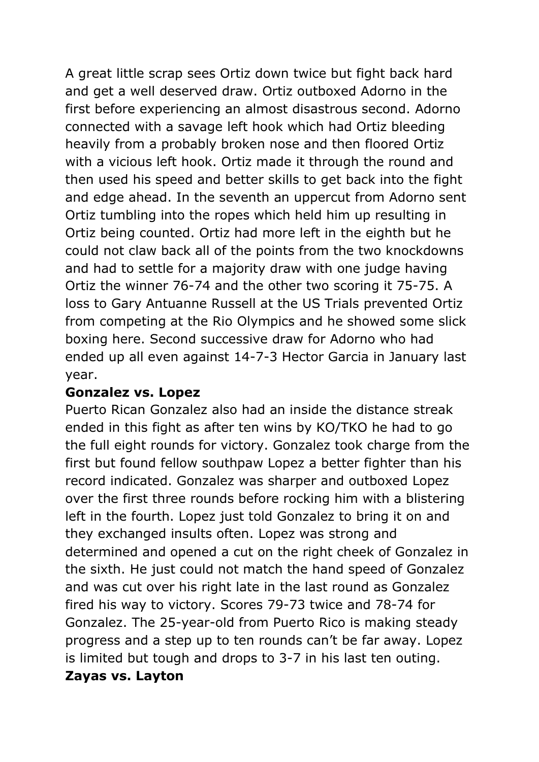A great little scrap sees Ortiz down twice but fight back hard and get a well deserved draw. Ortiz outboxed Adorno in the first before experiencing an almost disastrous second. Adorno connected with a savage left hook which had Ortiz bleeding heavily from a probably broken nose and then floored Ortiz with a vicious left hook. Ortiz made it through the round and then used his speed and better skills to get back into the fight and edge ahead. In the seventh an uppercut from Adorno sent Ortiz tumbling into the ropes which held him up resulting in Ortiz being counted. Ortiz had more left in the eighth but he could not claw back all of the points from the two knockdowns and had to settle for a majority draw with one judge having Ortiz the winner 76-74 and the other two scoring it 75-75. A loss to Gary Antuanne Russell at the US Trials prevented Ortiz from competing at the Rio Olympics and he showed some slick boxing here. Second successive draw for Adorno who had ended up all even against 14-7-3 Hector Garcia in January last year.

#### **Gonzalez vs. Lopez**

Puerto Rican Gonzalez also had an inside the distance streak ended in this fight as after ten wins by KO/TKO he had to go the full eight rounds for victory. Gonzalez took charge from the first but found fellow southpaw Lopez a better fighter than his record indicated. Gonzalez was sharper and outboxed Lopez over the first three rounds before rocking him with a blistering left in the fourth. Lopez just told Gonzalez to bring it on and they exchanged insults often. Lopez was strong and determined and opened a cut on the right cheek of Gonzalez in the sixth. He just could not match the hand speed of Gonzalez and was cut over his right late in the last round as Gonzalez fired his way to victory. Scores 79-73 twice and 78-74 for Gonzalez. The 25-year-old from Puerto Rico is making steady progress and a step up to ten rounds can't be far away. Lopez is limited but tough and drops to 3-7 in his last ten outing. **Zayas vs. Layton**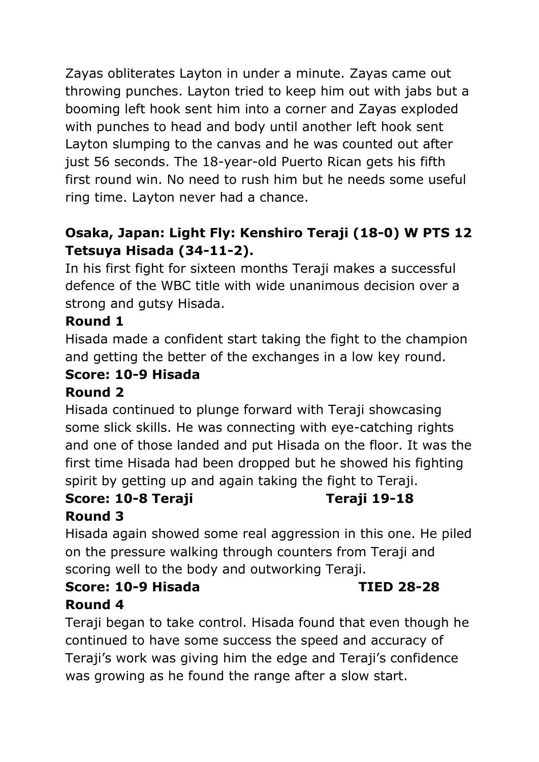Zayas obliterates Layton in under a minute. Zayas came out throwing punches. Layton tried to keep him out with jabs but a booming left hook sent him into a corner and Zayas exploded with punches to head and body until another left hook sent Layton slumping to the canvas and he was counted out after just 56 seconds. The 18-year-old Puerto Rican gets his fifth first round win. No need to rush him but he needs some useful ring time. Layton never had a chance.

# **Osaka, Japan: Light Fly: Kenshiro Teraji (18-0) W PTS 12 Tetsuya Hisada (34-11-2).**

In his first fight for sixteen months Teraji makes a successful defence of the WBC title with wide unanimous decision over a strong and gutsy Hisada.

# **Round 1**

Hisada made a confident start taking the fight to the champion and getting the better of the exchanges in a low key round.

#### **Score: 10-9 Hisada Round 2**

Hisada continued to plunge forward with Teraji showcasing some slick skills. He was connecting with eye-catching rights and one of those landed and put Hisada on the floor. It was the first time Hisada had been dropped but he showed his fighting spirit by getting up and again taking the fight to Teraji.

#### **Score: 10-8 Teraji Teraji 19-18 Round 3**

Hisada again showed some real aggression in this one. He piled on the pressure walking through counters from Teraji and scoring well to the body and outworking Teraji.

# **Score: 10-9 Hisada TIED 28-28 Round 4**

Teraji began to take control. Hisada found that even though he continued to have some success the speed and accuracy of Teraji's work was giving him the edge and Teraji's confidence was growing as he found the range after a slow start.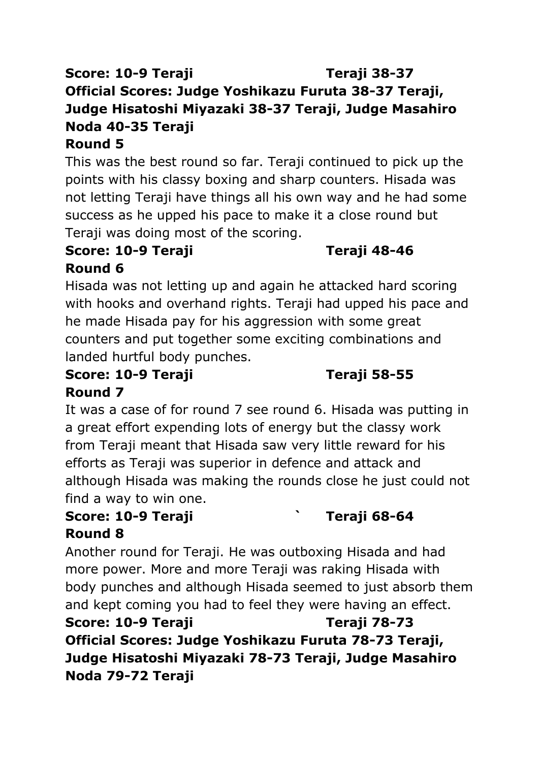# **Score: 10-9 Teraji Teraji 38-37 Official Scores: Judge Yoshikazu Furuta 38-37 Teraji, Judge Hisatoshi Miyazaki 38-37 Teraji, Judge Masahiro Noda 40-35 Teraji**

# **Round 5**

This was the best round so far. Teraji continued to pick up the points with his classy boxing and sharp counters. Hisada was not letting Teraji have things all his own way and he had some success as he upped his pace to make it a close round but Teraji was doing most of the scoring.

#### **Score: 10-9 Teraji Teraji 48-46 Round 6**

Hisada was not letting up and again he attacked hard scoring with hooks and overhand rights. Teraji had upped his pace and he made Hisada pay for his aggression with some great counters and put together some exciting combinations and landed hurtful body punches.

#### **Score: 10-9 Teraji Teraji 58-55 Round 7**

It was a case of for round 7 see round 6. Hisada was putting in a great effort expending lots of energy but the classy work from Teraji meant that Hisada saw very little reward for his efforts as Teraji was superior in defence and attack and although Hisada was making the rounds close he just could not find a way to win one.

# **Score: 10-9 Teraji ` Teraji 68-64 Round 8**

Another round for Teraji. He was outboxing Hisada and had more power. More and more Teraji was raking Hisada with body punches and although Hisada seemed to just absorb them and kept coming you had to feel they were having an effect.

**Score: 10-9 Teraji Teraji 78-73 Official Scores: Judge Yoshikazu Furuta 78-73 Teraji, Judge Hisatoshi Miyazaki 78-73 Teraji, Judge Masahiro Noda 79-72 Teraji**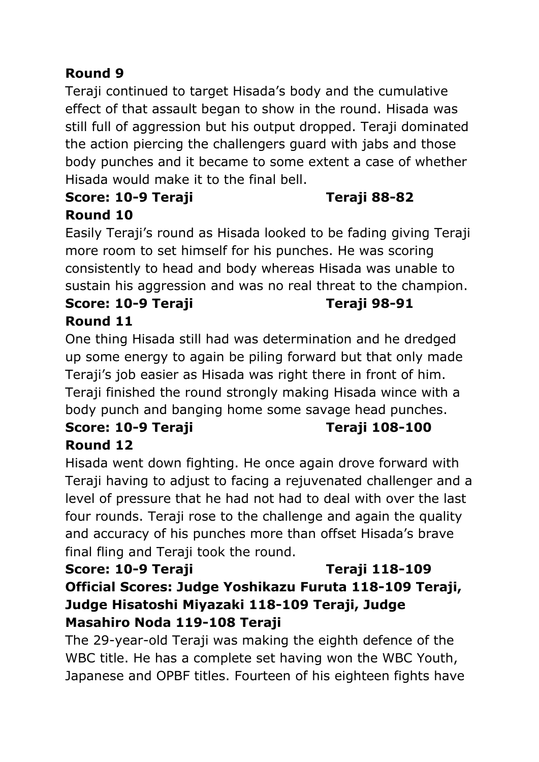# **Round 9**

Teraji continued to target Hisada's body and the cumulative effect of that assault began to show in the round. Hisada was still full of aggression but his output dropped. Teraji dominated the action piercing the challengers guard with jabs and those body punches and it became to some extent a case of whether Hisada would make it to the final bell.

# **Score: 10-9 Teraji Teraji 88-82 Round 10**

Easily Teraji's round as Hisada looked to be fading giving Teraji more room to set himself for his punches. He was scoring consistently to head and body whereas Hisada was unable to sustain his aggression and was no real threat to the champion.

# **Score: 10-9 Teraji Teraji 98-91 Round 11**

One thing Hisada still had was determination and he dredged up some energy to again be piling forward but that only made Teraji's job easier as Hisada was right there in front of him. Teraji finished the round strongly making Hisada wince with a body punch and banging home some savage head punches.

# **Score: 10-9 Teraji Teraji 108-100 Round 12**

Hisada went down fighting. He once again drove forward with Teraji having to adjust to facing a rejuvenated challenger and a level of pressure that he had not had to deal with over the last four rounds. Teraji rose to the challenge and again the quality and accuracy of his punches more than offset Hisada's brave final fling and Teraji took the round.

# **Score: 10-9 Teraji Teraji 118-109 Official Scores: Judge Yoshikazu Furuta 118-109 Teraji, Judge Hisatoshi Miyazaki 118-109 Teraji, Judge Masahiro Noda 119-108 Teraji**

The 29-year-old Teraji was making the eighth defence of the WBC title. He has a complete set having won the WBC Youth, Japanese and OPBF titles. Fourteen of his eighteen fights have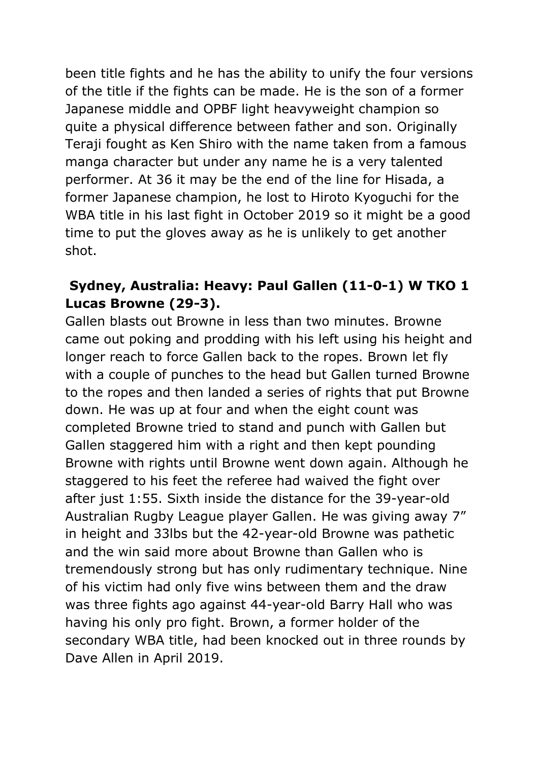been title fights and he has the ability to unify the four versions of the title if the fights can be made. He is the son of a former Japanese middle and OPBF light heavyweight champion so quite a physical difference between father and son. Originally Teraji fought as Ken Shiro with the name taken from a famous manga character but under any name he is a very talented performer. At 36 it may be the end of the line for Hisada, a former Japanese champion, he lost to Hiroto Kyoguchi for the WBA title in his last fight in October 2019 so it might be a good time to put the gloves away as he is unlikely to get another shot.

#### **Sydney, Australia: Heavy: Paul Gallen (11-0-1) W TKO 1 Lucas Browne (29-3).**

Gallen blasts out Browne in less than two minutes. Browne came out poking and prodding with his left using his height and longer reach to force Gallen back to the ropes. Brown let fly with a couple of punches to the head but Gallen turned Browne to the ropes and then landed a series of rights that put Browne down. He was up at four and when the eight count was completed Browne tried to stand and punch with Gallen but Gallen staggered him with a right and then kept pounding Browne with rights until Browne went down again. Although he staggered to his feet the referee had waived the fight over after just 1:55. Sixth inside the distance for the 39-year-old Australian Rugby League player Gallen. He was giving away 7" in height and 33lbs but the 42-year-old Browne was pathetic and the win said more about Browne than Gallen who is tremendously strong but has only rudimentary technique. Nine of his victim had only five wins between them and the draw was three fights ago against 44-year-old Barry Hall who was having his only pro fight. Brown, a former holder of the secondary WBA title, had been knocked out in three rounds by Dave Allen in April 2019.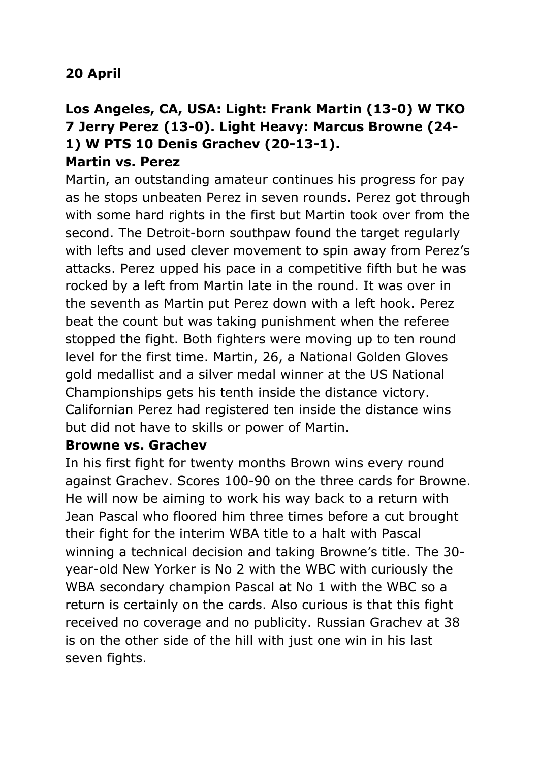# **20 April**

#### **Los Angeles, CA, USA: Light: Frank Martin (13-0) W TKO 7 Jerry Perez (13-0). Light Heavy: Marcus Browne (24- 1) W PTS 10 Denis Grachev (20-13-1). Martin vs. Perez**

Martin, an outstanding amateur continues his progress for pay as he stops unbeaten Perez in seven rounds. Perez got through with some hard rights in the first but Martin took over from the second. The Detroit-born southpaw found the target regularly with lefts and used clever movement to spin away from Perez's attacks. Perez upped his pace in a competitive fifth but he was rocked by a left from Martin late in the round. It was over in the seventh as Martin put Perez down with a left hook. Perez beat the count but was taking punishment when the referee stopped the fight. Both fighters were moving up to ten round level for the first time. Martin, 26, a National Golden Gloves gold medallist and a silver medal winner at the US National Championships gets his tenth inside the distance victory. Californian Perez had registered ten inside the distance wins but did not have to skills or power of Martin.

#### **Browne vs. Grachev**

In his first fight for twenty months Brown wins every round against Grachev. Scores 100-90 on the three cards for Browne. He will now be aiming to work his way back to a return with Jean Pascal who floored him three times before a cut brought their fight for the interim WBA title to a halt with Pascal winning a technical decision and taking Browne's title. The 30 year-old New Yorker is No 2 with the WBC with curiously the WBA secondary champion Pascal at No 1 with the WBC so a return is certainly on the cards. Also curious is that this fight received no coverage and no publicity. Russian Grachev at 38 is on the other side of the hill with just one win in his last seven fights.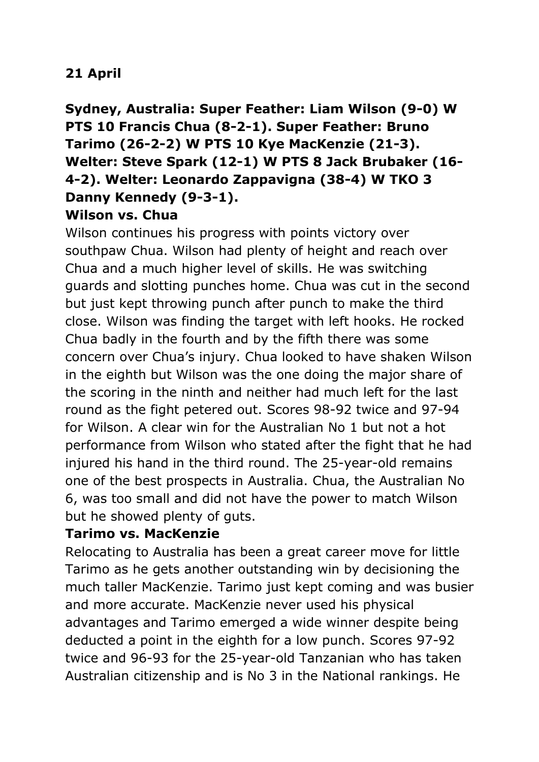#### **21 April**

# **Sydney, Australia: Super Feather: Liam Wilson (9-0) W PTS 10 Francis Chua (8-2-1). Super Feather: Bruno Tarimo (26-2-2) W PTS 10 Kye MacKenzie (21-3). Welter: Steve Spark (12-1) W PTS 8 Jack Brubaker (16- 4-2). Welter: Leonardo Zappavigna (38-4) W TKO 3 Danny Kennedy (9-3-1).**

#### **Wilson vs. Chua**

Wilson continues his progress with points victory over southpaw Chua. Wilson had plenty of height and reach over Chua and a much higher level of skills. He was switching guards and slotting punches home. Chua was cut in the second but just kept throwing punch after punch to make the third close. Wilson was finding the target with left hooks. He rocked Chua badly in the fourth and by the fifth there was some concern over Chua's injury. Chua looked to have shaken Wilson in the eighth but Wilson was the one doing the major share of the scoring in the ninth and neither had much left for the last round as the fight petered out. Scores 98-92 twice and 97-94 for Wilson. A clear win for the Australian No 1 but not a hot performance from Wilson who stated after the fight that he had injured his hand in the third round. The 25-year-old remains one of the best prospects in Australia. Chua, the Australian No 6, was too small and did not have the power to match Wilson but he showed plenty of guts.

#### **Tarimo vs. MacKenzie**

Relocating to Australia has been a great career move for little Tarimo as he gets another outstanding win by decisioning the much taller MacKenzie. Tarimo just kept coming and was busier and more accurate. MacKenzie never used his physical advantages and Tarimo emerged a wide winner despite being deducted a point in the eighth for a low punch. Scores 97-92 twice and 96-93 for the 25-year-old Tanzanian who has taken Australian citizenship and is No 3 in the National rankings. He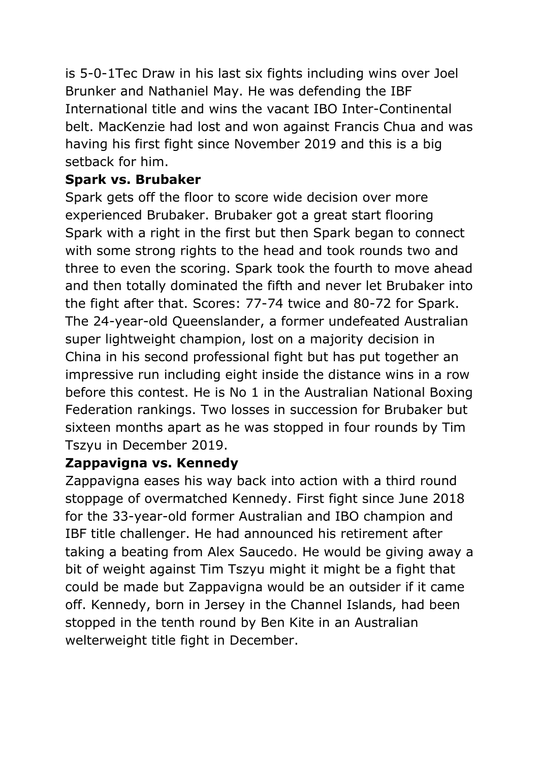is 5-0-1Tec Draw in his last six fights including wins over Joel Brunker and Nathaniel May. He was defending the IBF International title and wins the vacant IBO Inter-Continental belt. MacKenzie had lost and won against Francis Chua and was having his first fight since November 2019 and this is a big setback for him.

### **Spark vs. Brubaker**

Spark gets off the floor to score wide decision over more experienced Brubaker. Brubaker got a great start flooring Spark with a right in the first but then Spark began to connect with some strong rights to the head and took rounds two and three to even the scoring. Spark took the fourth to move ahead and then totally dominated the fifth and never let Brubaker into the fight after that. Scores: 77-74 twice and 80-72 for Spark. The 24-year-old Queenslander, a former undefeated Australian super lightweight champion, lost on a majority decision in China in his second professional fight but has put together an impressive run including eight inside the distance wins in a row before this contest. He is No 1 in the Australian National Boxing Federation rankings. Two losses in succession for Brubaker but sixteen months apart as he was stopped in four rounds by Tim Tszyu in December 2019.

#### **Zappavigna vs. Kennedy**

Zappavigna eases his way back into action with a third round stoppage of overmatched Kennedy. First fight since June 2018 for the 33-year-old former Australian and IBO champion and IBF title challenger. He had announced his retirement after taking a beating from Alex Saucedo. He would be giving away a bit of weight against Tim Tszyu might it might be a fight that could be made but Zappavigna would be an outsider if it came off. Kennedy, born in Jersey in the Channel Islands, had been stopped in the tenth round by Ben Kite in an Australian welterweight title fight in December.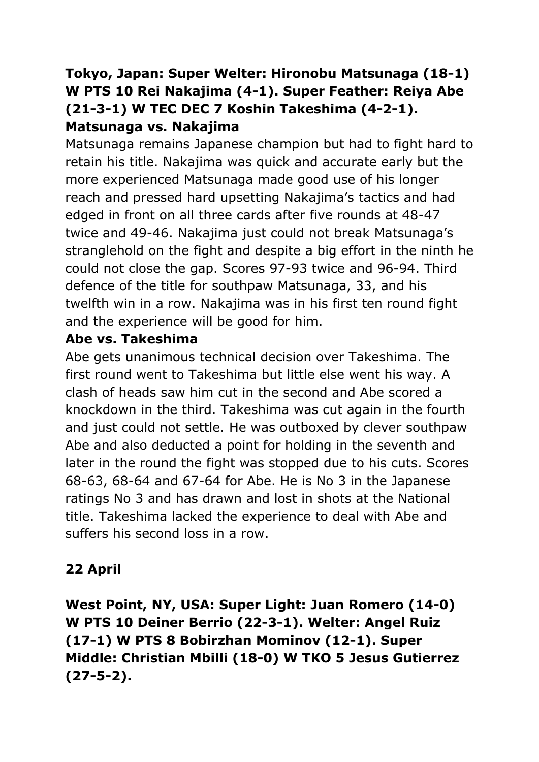# **Tokyo, Japan: Super Welter: Hironobu Matsunaga (18-1) W PTS 10 Rei Nakajima (4-1). Super Feather: Reiya Abe (21-3-1) W TEC DEC 7 Koshin Takeshima (4-2-1). Matsunaga vs. Nakajima**

Matsunaga remains Japanese champion but had to fight hard to retain his title. Nakajima was quick and accurate early but the more experienced Matsunaga made good use of his longer reach and pressed hard upsetting Nakajima's tactics and had edged in front on all three cards after five rounds at 48-47 twice and 49-46. Nakajima just could not break Matsunaga's stranglehold on the fight and despite a big effort in the ninth he could not close the gap. Scores 97-93 twice and 96-94. Third defence of the title for southpaw Matsunaga, 33, and his twelfth win in a row. Nakajima was in his first ten round fight and the experience will be good for him.

#### **Abe vs. Takeshima**

Abe gets unanimous technical decision over Takeshima. The first round went to Takeshima but little else went his way. A clash of heads saw him cut in the second and Abe scored a knockdown in the third. Takeshima was cut again in the fourth and just could not settle. He was outboxed by clever southpaw Abe and also deducted a point for holding in the seventh and later in the round the fight was stopped due to his cuts. Scores 68-63, 68-64 and 67-64 for Abe. He is No 3 in the Japanese ratings No 3 and has drawn and lost in shots at the National title. Takeshima lacked the experience to deal with Abe and suffers his second loss in a row.

# **22 April**

**West Point, NY, USA: Super Light: Juan Romero (14-0) W PTS 10 Deiner Berrio (22-3-1). Welter: Angel Ruiz (17-1) W PTS 8 Bobirzhan Mominov (12-1). Super Middle: Christian Mbilli (18-0) W TKO 5 Jesus Gutierrez (27-5-2).**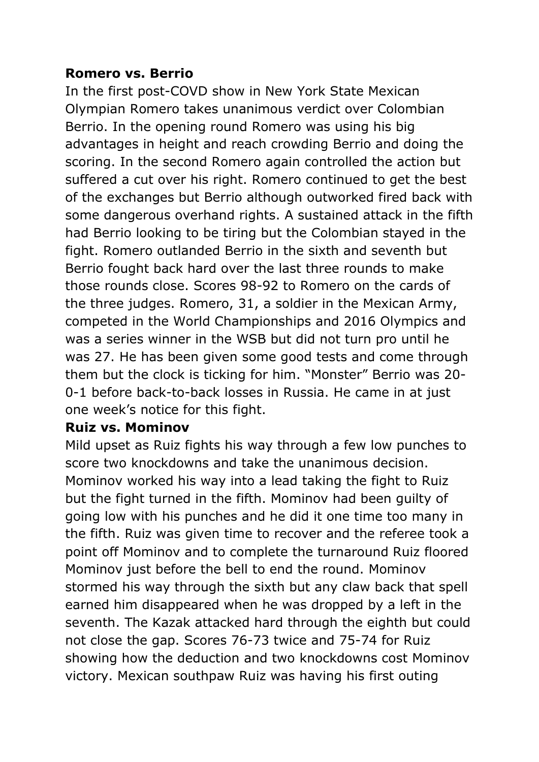#### **Romero vs. Berrio**

In the first post-COVD show in New York State Mexican Olympian Romero takes unanimous verdict over Colombian Berrio. In the opening round Romero was using his big advantages in height and reach crowding Berrio and doing the scoring. In the second Romero again controlled the action but suffered a cut over his right. Romero continued to get the best of the exchanges but Berrio although outworked fired back with some dangerous overhand rights. A sustained attack in the fifth had Berrio looking to be tiring but the Colombian stayed in the fight. Romero outlanded Berrio in the sixth and seventh but Berrio fought back hard over the last three rounds to make those rounds close. Scores 98-92 to Romero on the cards of the three judges. Romero, 31, a soldier in the Mexican Army, competed in the World Championships and 2016 Olympics and was a series winner in the WSB but did not turn pro until he was 27. He has been given some good tests and come through them but the clock is ticking for him. "Monster" Berrio was 20- 0-1 before back-to-back losses in Russia. He came in at just one week's notice for this fight.

#### **Ruiz vs. Mominov**

Mild upset as Ruiz fights his way through a few low punches to score two knockdowns and take the unanimous decision. Mominov worked his way into a lead taking the fight to Ruiz but the fight turned in the fifth. Mominov had been guilty of going low with his punches and he did it one time too many in the fifth. Ruiz was given time to recover and the referee took a point off Mominov and to complete the turnaround Ruiz floored Mominov just before the bell to end the round. Mominov stormed his way through the sixth but any claw back that spell earned him disappeared when he was dropped by a left in the seventh. The Kazak attacked hard through the eighth but could not close the gap. Scores 76-73 twice and 75-74 for Ruiz showing how the deduction and two knockdowns cost Mominov victory. Mexican southpaw Ruiz was having his first outing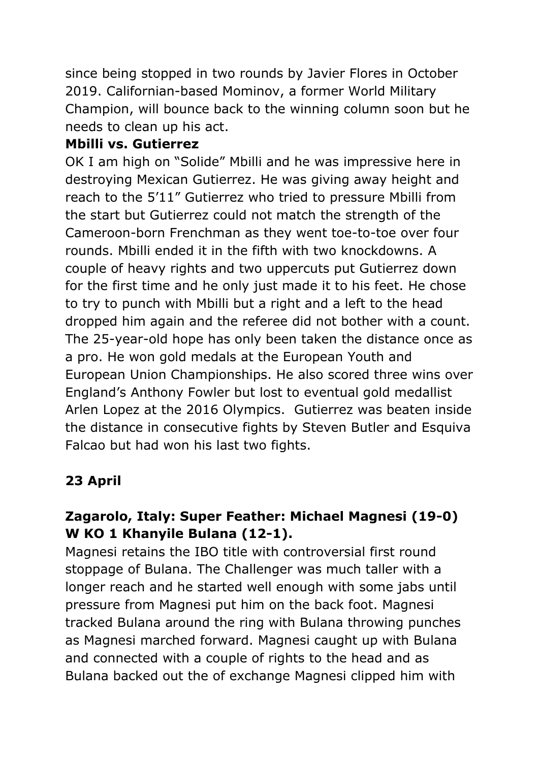since being stopped in two rounds by Javier Flores in October 2019. Californian-based Mominov, a former World Military Champion, will bounce back to the winning column soon but he needs to clean up his act.

#### **Mbilli vs. Gutierrez**

OK I am high on "Solide" Mbilli and he was impressive here in destroying Mexican Gutierrez. He was giving away height and reach to the 5'11" Gutierrez who tried to pressure Mbilli from the start but Gutierrez could not match the strength of the Cameroon-born Frenchman as they went toe-to-toe over four rounds. Mbilli ended it in the fifth with two knockdowns. A couple of heavy rights and two uppercuts put Gutierrez down for the first time and he only just made it to his feet. He chose to try to punch with Mbilli but a right and a left to the head dropped him again and the referee did not bother with a count. The 25-year-old hope has only been taken the distance once as a pro. He won gold medals at the European Youth and European Union Championships. He also scored three wins over England's Anthony Fowler but lost to eventual gold medallist Arlen Lopez at the 2016 Olympics. Gutierrez was beaten inside the distance in consecutive fights by Steven Butler and Esquiva Falcao but had won his last two fights.

# **23 April**

# **Zagarolo, Italy: Super Feather: Michael Magnesi (19-0) W KO 1 Khanyile Bulana (12-1).**

Magnesi retains the IBO title with controversial first round stoppage of Bulana. The Challenger was much taller with a longer reach and he started well enough with some jabs until pressure from Magnesi put him on the back foot. Magnesi tracked Bulana around the ring with Bulana throwing punches as Magnesi marched forward. Magnesi caught up with Bulana and connected with a couple of rights to the head and as Bulana backed out the of exchange Magnesi clipped him with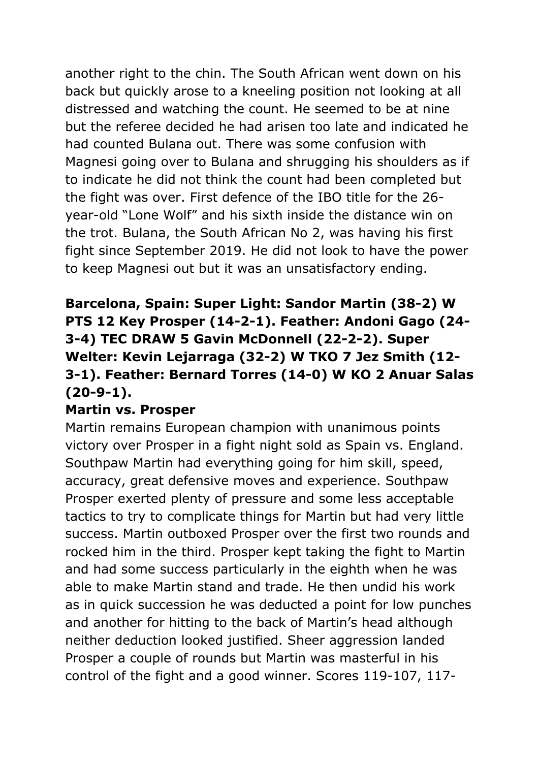another right to the chin. The South African went down on his back but quickly arose to a kneeling position not looking at all distressed and watching the count. He seemed to be at nine but the referee decided he had arisen too late and indicated he had counted Bulana out. There was some confusion with Magnesi going over to Bulana and shrugging his shoulders as if to indicate he did not think the count had been completed but the fight was over. First defence of the IBO title for the 26 year-old "Lone Wolf" and his sixth inside the distance win on the trot. Bulana, the South African No 2, was having his first fight since September 2019. He did not look to have the power to keep Magnesi out but it was an unsatisfactory ending.

# **Barcelona, Spain: Super Light: Sandor Martin (38-2) W PTS 12 Key Prosper (14-2-1). Feather: Andoni Gago (24- 3-4) TEC DRAW 5 Gavin McDonnell (22-2-2). Super Welter: Kevin Lejarraga (32-2) W TKO 7 Jez Smith (12- 3-1). Feather: Bernard Torres (14-0) W KO 2 Anuar Salas (20-9-1).**

#### **Martin vs. Prosper**

Martin remains European champion with unanimous points victory over Prosper in a fight night sold as Spain vs. England. Southpaw Martin had everything going for him skill, speed, accuracy, great defensive moves and experience. Southpaw Prosper exerted plenty of pressure and some less acceptable tactics to try to complicate things for Martin but had very little success. Martin outboxed Prosper over the first two rounds and rocked him in the third. Prosper kept taking the fight to Martin and had some success particularly in the eighth when he was able to make Martin stand and trade. He then undid his work as in quick succession he was deducted a point for low punches and another for hitting to the back of Martin's head although neither deduction looked justified. Sheer aggression landed Prosper a couple of rounds but Martin was masterful in his control of the fight and a good winner. Scores 119-107, 117-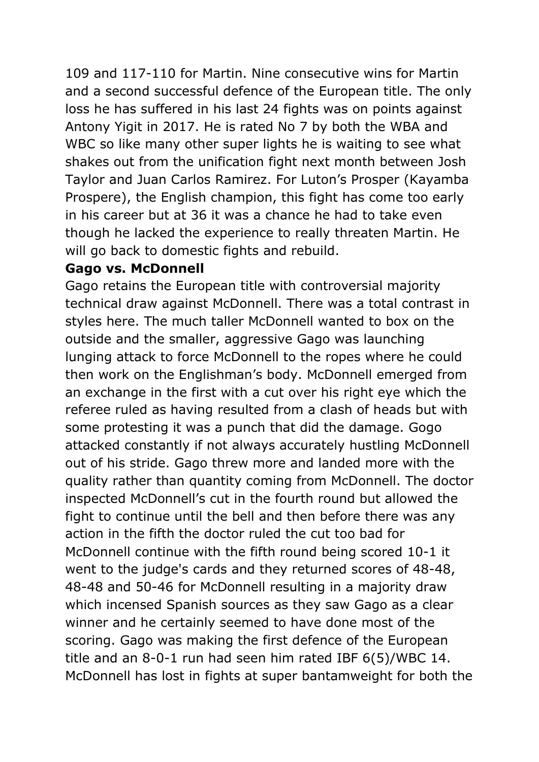109 and 117-110 for Martin. Nine consecutive wins for Martin and a second successful defence of the European title. The only loss he has suffered in his last 24 fights was on points against Antony Yigit in 2017. He is rated No 7 by both the WBA and WBC so like many other super lights he is waiting to see what shakes out from the unification fight next month between Josh Taylor and Juan Carlos Ramirez. For Luton's Prosper (Kayamba Prospere), the English champion, this fight has come too early in his career but at 36 it was a chance he had to take even though he lacked the experience to really threaten Martin. He will go back to domestic fights and rebuild.

#### **Gago vs. McDonnell**

Gago retains the European title with controversial majority technical draw against McDonnell. There was a total contrast in styles here. The much taller McDonnell wanted to box on the outside and the smaller, aggressive Gago was launching lunging attack to force McDonnell to the ropes where he could then work on the Englishman's body. McDonnell emerged from an exchange in the first with a cut over his right eye which the referee ruled as having resulted from a clash of heads but with some protesting it was a punch that did the damage. Gogo attacked constantly if not always accurately hustling McDonnell out of his stride. Gago threw more and landed more with the quality rather than quantity coming from McDonnell. The doctor inspected McDonnell's cut in the fourth round but allowed the fight to continue until the bell and then before there was any action in the fifth the doctor ruled the cut too bad for McDonnell continue with the fifth round being scored 10-1 it went to the judge's cards and they returned scores of 48-48, 48-48 and 50-46 for McDonnell resulting in a majority draw which incensed Spanish sources as they saw Gago as a clear winner and he certainly seemed to have done most of the scoring. Gago was making the first defence of the European title and an 8-0-1 run had seen him rated IBF 6(5)/WBC 14. McDonnell has lost in fights at super bantamweight for both the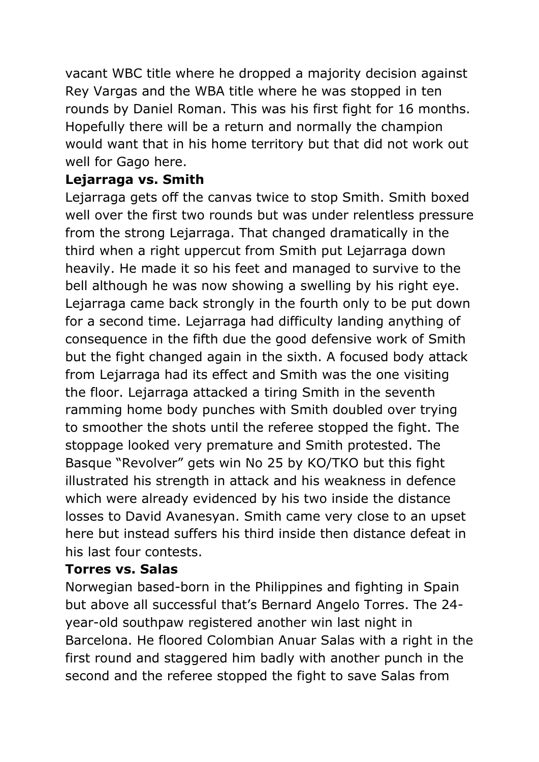vacant WBC title where he dropped a majority decision against Rey Vargas and the WBA title where he was stopped in ten rounds by Daniel Roman. This was his first fight for 16 months. Hopefully there will be a return and normally the champion would want that in his home territory but that did not work out well for Gago here.

#### **Lejarraga vs. Smith**

Lejarraga gets off the canvas twice to stop Smith. Smith boxed well over the first two rounds but was under relentless pressure from the strong Lejarraga. That changed dramatically in the third when a right uppercut from Smith put Lejarraga down heavily. He made it so his feet and managed to survive to the bell although he was now showing a swelling by his right eye. Lejarraga came back strongly in the fourth only to be put down for a second time. Lejarraga had difficulty landing anything of consequence in the fifth due the good defensive work of Smith but the fight changed again in the sixth. A focused body attack from Lejarraga had its effect and Smith was the one visiting the floor. Lejarraga attacked a tiring Smith in the seventh ramming home body punches with Smith doubled over trying to smoother the shots until the referee stopped the fight. The stoppage looked very premature and Smith protested. The Basque "Revolver" gets win No 25 by KO/TKO but this fight illustrated his strength in attack and his weakness in defence which were already evidenced by his two inside the distance losses to David Avanesyan. Smith came very close to an upset here but instead suffers his third inside then distance defeat in his last four contests.

### **Torres vs. Salas**

Norwegian based-born in the Philippines and fighting in Spain but above all successful that's Bernard Angelo Torres. The 24 year-old southpaw registered another win last night in Barcelona. He floored Colombian Anuar Salas with a right in the first round and staggered him badly with another punch in the second and the referee stopped the fight to save Salas from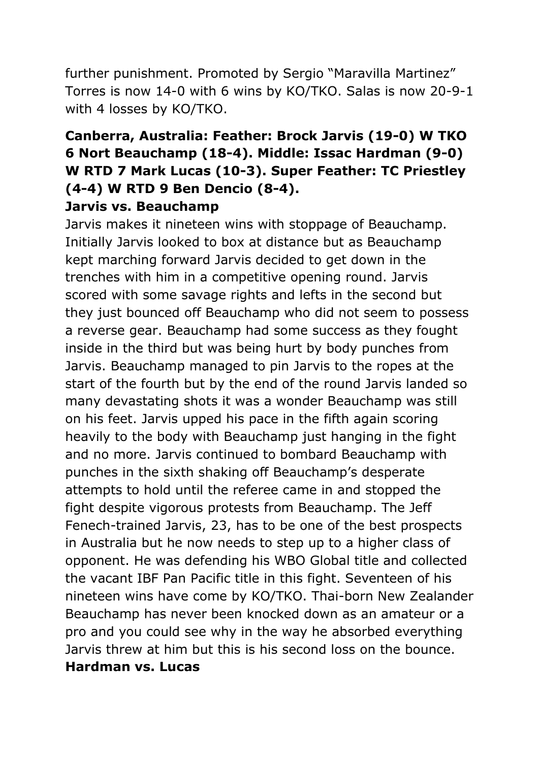further punishment. Promoted by Sergio "Maravilla Martinez" Torres is now 14-0 with 6 wins by KO/TKO. Salas is now 20-9-1 with 4 losses by KO/TKO.

#### **Canberra, Australia: Feather: Brock Jarvis (19-0) W TKO 6 Nort Beauchamp (18-4). Middle: Issac Hardman (9-0) W RTD 7 Mark Lucas (10-3). Super Feather: TC Priestley (4-4) W RTD 9 Ben Dencio (8-4). Jarvis vs. Beauchamp**

Jarvis makes it nineteen wins with stoppage of Beauchamp. Initially Jarvis looked to box at distance but as Beauchamp kept marching forward Jarvis decided to get down in the trenches with him in a competitive opening round. Jarvis scored with some savage rights and lefts in the second but they just bounced off Beauchamp who did not seem to possess a reverse gear. Beauchamp had some success as they fought inside in the third but was being hurt by body punches from Jarvis. Beauchamp managed to pin Jarvis to the ropes at the start of the fourth but by the end of the round Jarvis landed so many devastating shots it was a wonder Beauchamp was still on his feet. Jarvis upped his pace in the fifth again scoring heavily to the body with Beauchamp just hanging in the fight and no more. Jarvis continued to bombard Beauchamp with punches in the sixth shaking off Beauchamp's desperate attempts to hold until the referee came in and stopped the fight despite vigorous protests from Beauchamp. The Jeff Fenech-trained Jarvis, 23, has to be one of the best prospects in Australia but he now needs to step up to a higher class of opponent. He was defending his WBO Global title and collected the vacant IBF Pan Pacific title in this fight. Seventeen of his nineteen wins have come by KO/TKO. Thai-born New Zealander Beauchamp has never been knocked down as an amateur or a pro and you could see why in the way he absorbed everything Jarvis threw at him but this is his second loss on the bounce. **Hardman vs. Lucas**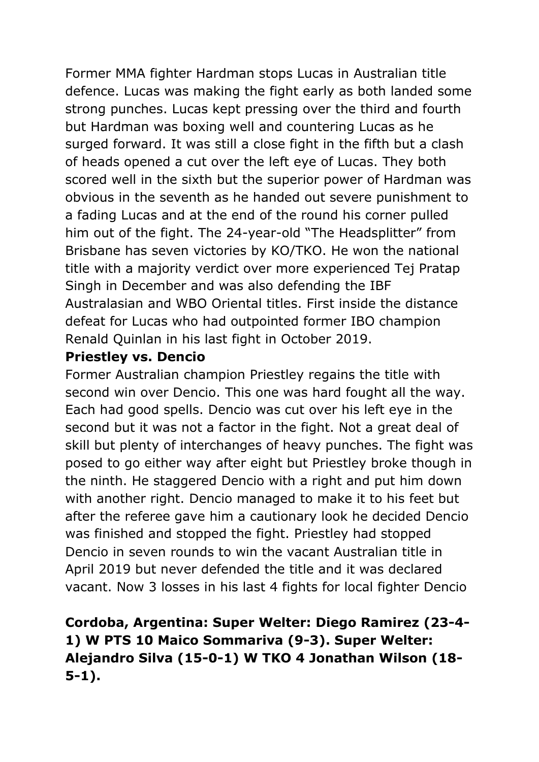Former MMA fighter Hardman stops Lucas in Australian title defence. Lucas was making the fight early as both landed some strong punches. Lucas kept pressing over the third and fourth but Hardman was boxing well and countering Lucas as he surged forward. It was still a close fight in the fifth but a clash of heads opened a cut over the left eye of Lucas. They both scored well in the sixth but the superior power of Hardman was obvious in the seventh as he handed out severe punishment to a fading Lucas and at the end of the round his corner pulled him out of the fight. The 24-year-old "The Headsplitter" from Brisbane has seven victories by KO/TKO. He won the national title with a majority verdict over more experienced Tej Pratap Singh in December and was also defending the IBF Australasian and WBO Oriental titles. First inside the distance defeat for Lucas who had outpointed former IBO champion Renald Quinlan in his last fight in October 2019.

#### **Priestley vs. Dencio**

Former Australian champion Priestley regains the title with second win over Dencio. This one was hard fought all the way. Each had good spells. Dencio was cut over his left eye in the second but it was not a factor in the fight. Not a great deal of skill but plenty of interchanges of heavy punches. The fight was posed to go either way after eight but Priestley broke though in the ninth. He staggered Dencio with a right and put him down with another right. Dencio managed to make it to his feet but after the referee gave him a cautionary look he decided Dencio was finished and stopped the fight. Priestley had stopped Dencio in seven rounds to win the vacant Australian title in April 2019 but never defended the title and it was declared vacant. Now 3 losses in his last 4 fights for local fighter Dencio

# **Cordoba, Argentina: Super Welter: Diego Ramirez (23-4- 1) W PTS 10 Maico Sommariva (9-3). Super Welter: Alejandro Silva (15-0-1) W TKO 4 Jonathan Wilson (18- 5-1).**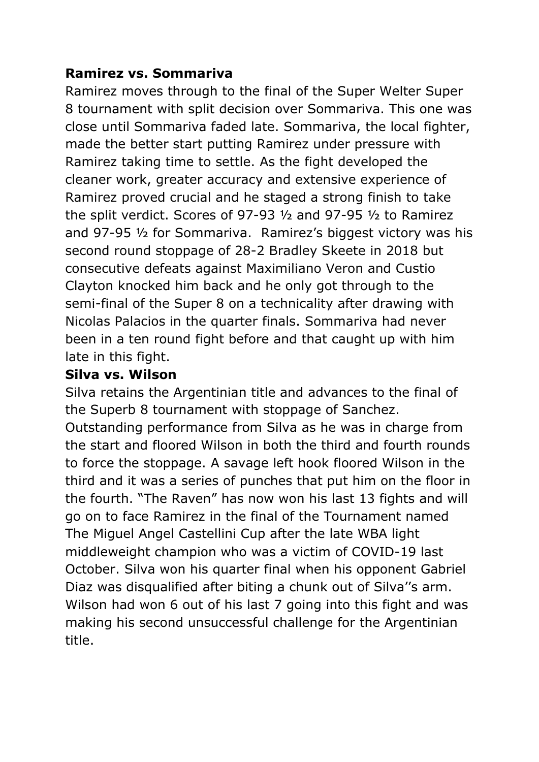#### **Ramirez vs. Sommariva**

Ramirez moves through to the final of the Super Welter Super 8 tournament with split decision over Sommariva. This one was close until Sommariva faded late. Sommariva, the local fighter, made the better start putting Ramirez under pressure with Ramirez taking time to settle. As the fight developed the cleaner work, greater accuracy and extensive experience of Ramirez proved crucial and he staged a strong finish to take the split verdict. Scores of 97-93 ½ and 97-95 ½ to Ramirez and 97-95 ½ for Sommariva. Ramirez's biggest victory was his second round stoppage of 28-2 Bradley Skeete in 2018 but consecutive defeats against Maximiliano Veron and Custio Clayton knocked him back and he only got through to the semi-final of the Super 8 on a technicality after drawing with Nicolas Palacios in the quarter finals. Sommariva had never been in a ten round fight before and that caught up with him late in this fight.

#### **Silva vs. Wilson**

Silva retains the Argentinian title and advances to the final of the Superb 8 tournament with stoppage of Sanchez. Outstanding performance from Silva as he was in charge from the start and floored Wilson in both the third and fourth rounds to force the stoppage. A savage left hook floored Wilson in the third and it was a series of punches that put him on the floor in the fourth. "The Raven" has now won his last 13 fights and will go on to face Ramirez in the final of the Tournament named The Miguel Angel Castellini Cup after the late WBA light middleweight champion who was a victim of COVID-19 last October. Silva won his quarter final when his opponent Gabriel Diaz was disqualified after biting a chunk out of Silva''s arm. Wilson had won 6 out of his last 7 going into this fight and was making his second unsuccessful challenge for the Argentinian title.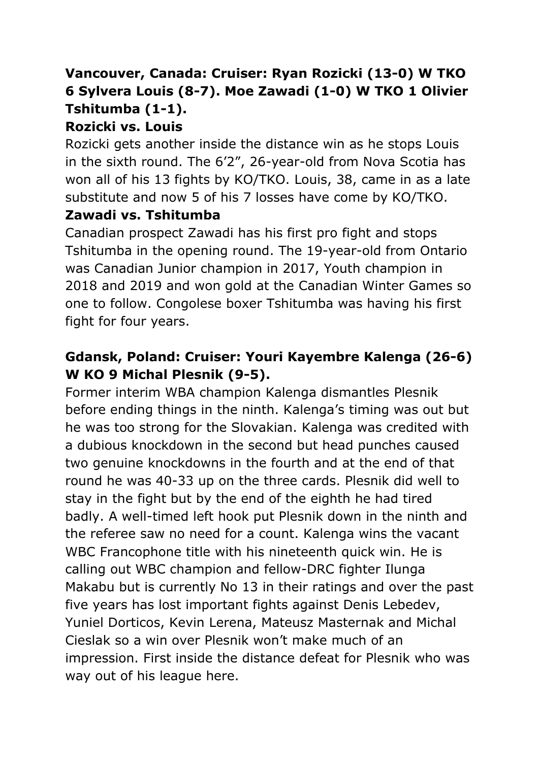# **Vancouver, Canada: Cruiser: Ryan Rozicki (13-0) W TKO 6 Sylvera Louis (8-7). Moe Zawadi (1-0) W TKO 1 Olivier Tshitumba (1-1).**

# **Rozicki vs. Louis**

Rozicki gets another inside the distance win as he stops Louis in the sixth round. The 6'2", 26-year-old from Nova Scotia has won all of his 13 fights by KO/TKO. Louis, 38, came in as a late substitute and now 5 of his 7 losses have come by KO/TKO.

#### **Zawadi vs. Tshitumba**

Canadian prospect Zawadi has his first pro fight and stops Tshitumba in the opening round. The 19-year-old from Ontario was Canadian Junior champion in 2017, Youth champion in 2018 and 2019 and won gold at the Canadian Winter Games so one to follow. Congolese boxer Tshitumba was having his first fight for four years.

### **Gdansk, Poland: Cruiser: Youri Kayembre Kalenga (26-6) W KO 9 Michal Plesnik (9-5).**

Former interim WBA champion Kalenga dismantles Plesnik before ending things in the ninth. Kalenga's timing was out but he was too strong for the Slovakian. Kalenga was credited with a dubious knockdown in the second but head punches caused two genuine knockdowns in the fourth and at the end of that round he was 40-33 up on the three cards. Plesnik did well to stay in the fight but by the end of the eighth he had tired badly. A well-timed left hook put Plesnik down in the ninth and the referee saw no need for a count. Kalenga wins the vacant WBC Francophone title with his nineteenth quick win. He is calling out WBC champion and fellow-DRC fighter Ilunga Makabu but is currently No 13 in their ratings and over the past five years has lost important fights against Denis Lebedev, Yuniel Dorticos, Kevin Lerena, Mateusz Masternak and Michal Cieslak so a win over Plesnik won't make much of an impression. First inside the distance defeat for Plesnik who was way out of his league here.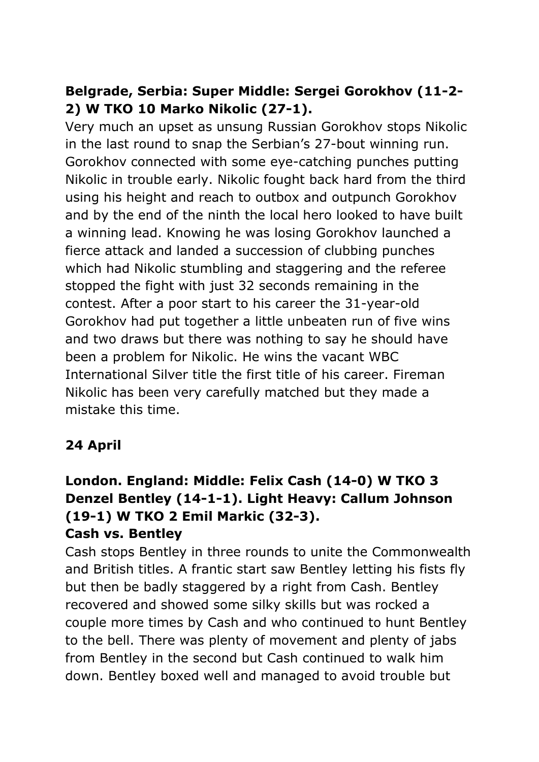## **Belgrade, Serbia: Super Middle: Sergei Gorokhov (11-2- 2) W TKO 10 Marko Nikolic (27-1).**

Very much an upset as unsung Russian Gorokhov stops Nikolic in the last round to snap the Serbian's 27-bout winning run. Gorokhov connected with some eye-catching punches putting Nikolic in trouble early. Nikolic fought back hard from the third using his height and reach to outbox and outpunch Gorokhov and by the end of the ninth the local hero looked to have built a winning lead. Knowing he was losing Gorokhov launched a fierce attack and landed a succession of clubbing punches which had Nikolic stumbling and staggering and the referee stopped the fight with just 32 seconds remaining in the contest. After a poor start to his career the 31-year-old Gorokhov had put together a little unbeaten run of five wins and two draws but there was nothing to say he should have been a problem for Nikolic. He wins the vacant WBC International Silver title the first title of his career. Fireman Nikolic has been very carefully matched but they made a mistake this time.

### **24 April**

#### **London. England: Middle: Felix Cash (14-0) W TKO 3 Denzel Bentley (14-1-1). Light Heavy: Callum Johnson (19-1) W TKO 2 Emil Markic (32-3). Cash vs. Bentley**

Cash stops Bentley in three rounds to unite the Commonwealth and British titles. A frantic start saw Bentley letting his fists fly but then be badly staggered by a right from Cash. Bentley recovered and showed some silky skills but was rocked a couple more times by Cash and who continued to hunt Bentley to the bell. There was plenty of movement and plenty of jabs from Bentley in the second but Cash continued to walk him down. Bentley boxed well and managed to avoid trouble but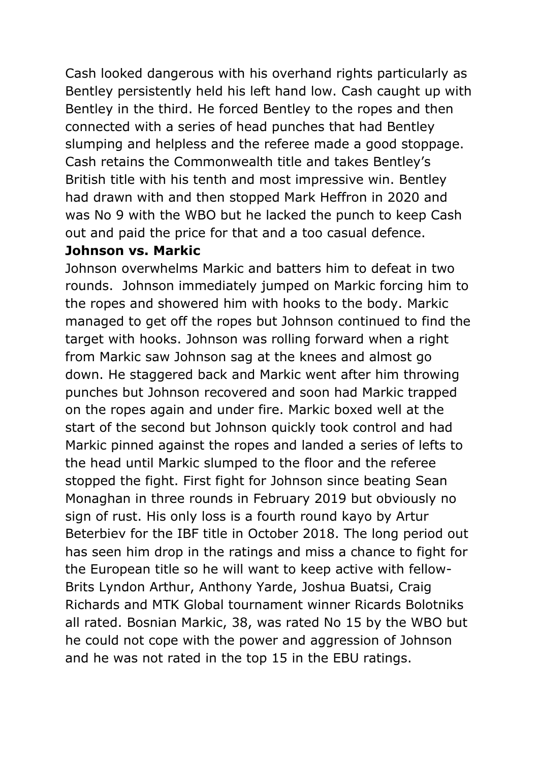Cash looked dangerous with his overhand rights particularly as Bentley persistently held his left hand low. Cash caught up with Bentley in the third. He forced Bentley to the ropes and then connected with a series of head punches that had Bentley slumping and helpless and the referee made a good stoppage. Cash retains the Commonwealth title and takes Bentley's British title with his tenth and most impressive win. Bentley had drawn with and then stopped Mark Heffron in 2020 and was No 9 with the WBO but he lacked the punch to keep Cash out and paid the price for that and a too casual defence.

#### **Johnson vs. Markic**

Johnson overwhelms Markic and batters him to defeat in two rounds. Johnson immediately jumped on Markic forcing him to the ropes and showered him with hooks to the body. Markic managed to get off the ropes but Johnson continued to find the target with hooks. Johnson was rolling forward when a right from Markic saw Johnson sag at the knees and almost go down. He staggered back and Markic went after him throwing punches but Johnson recovered and soon had Markic trapped on the ropes again and under fire. Markic boxed well at the start of the second but Johnson quickly took control and had Markic pinned against the ropes and landed a series of lefts to the head until Markic slumped to the floor and the referee stopped the fight. First fight for Johnson since beating Sean Monaghan in three rounds in February 2019 but obviously no sign of rust. His only loss is a fourth round kayo by Artur Beterbiev for the IBF title in October 2018. The long period out has seen him drop in the ratings and miss a chance to fight for the European title so he will want to keep active with fellow-Brits Lyndon Arthur, Anthony Yarde, Joshua Buatsi, Craig Richards and MTK Global tournament winner Ricards Bolotniks all rated. Bosnian Markic, 38, was rated No 15 by the WBO but he could not cope with the power and aggression of Johnson and he was not rated in the top 15 in the EBU ratings.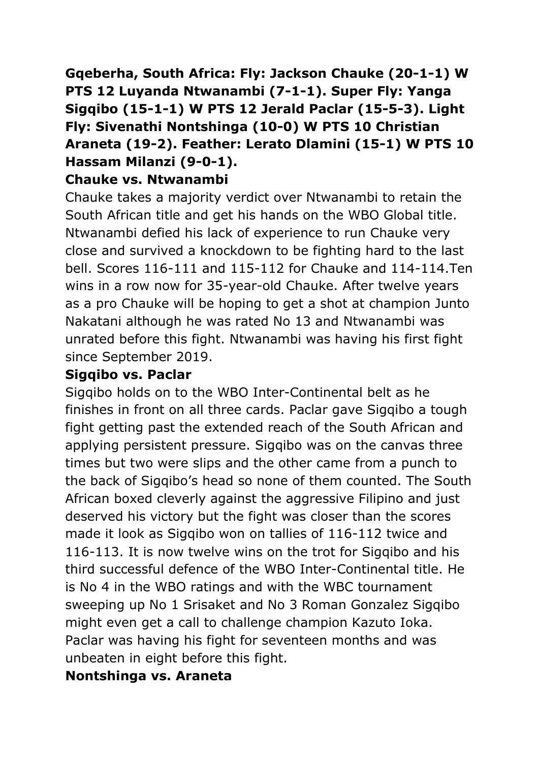**Gqeberha, South Africa: Fly: Jackson Chauke (20-1-1) W PTS 12 Luyanda Ntwanambi (7-1-1). Super Fly: Yanga Sigqibo (15-1-1) W PTS 12 Jerald Paclar (15-5-3). Light Fly: Sivenathi Nontshinga (10-0) W PTS 10 Christian Araneta (19-2). Feather: Lerato Dlamini (15-1) W PTS 10 Hassam Milanzi (9-0-1).**

#### **Chauke vs. Ntwanambi**

Chauke takes a majority verdict over Ntwanambi to retain the South African title and get his hands on the WBO Global title. Ntwanambi defied his lack of experience to run Chauke very close and survived a knockdown to be fighting hard to the last bell. Scores 116-111 and 115-112 for Chauke and 114-114.Ten wins in a row now for 35-year-old Chauke. After twelve years as a pro Chauke will be hoping to get a shot at champion Junto Nakatani although he was rated No 13 and Ntwanambi was unrated before this fight. Ntwanambi was having his first fight since September 2019.

#### **Sigqibo vs. Paclar**

Sigqibo holds on to the WBO Inter-Continental belt as he finishes in front on all three cards. Paclar gave Sigqibo a tough fight getting past the extended reach of the South African and applying persistent pressure. Sigqibo was on the canvas three times but two were slips and the other came from a punch to the back of Sigqibo's head so none of them counted. The South African boxed cleverly against the aggressive Filipino and just deserved his victory but the fight was closer than the scores made it look as Sigqibo won on tallies of 116-112 twice and 116-113. It is now twelve wins on the trot for Sigqibo and his third successful defence of the WBO Inter-Continental title. He is No 4 in the WBO ratings and with the WBC tournament sweeping up No 1 Srisaket and No 3 Roman Gonzalez Sigqibo might even get a call to challenge champion Kazuto Ioka. Paclar was having his fight for seventeen months and was unbeaten in eight before this fight.

#### **Nontshinga vs. Araneta**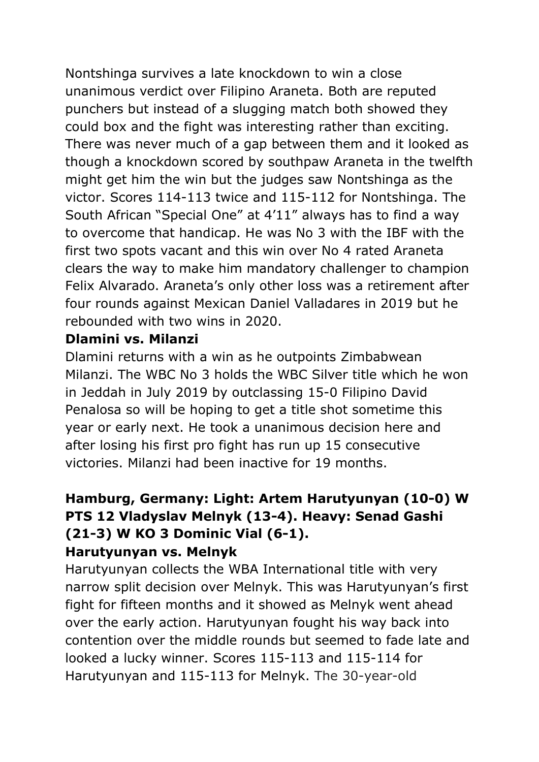Nontshinga survives a late knockdown to win a close unanimous verdict over Filipino Araneta. Both are reputed punchers but instead of a slugging match both showed they could box and the fight was interesting rather than exciting. There was never much of a gap between them and it looked as though a knockdown scored by southpaw Araneta in the twelfth might get him the win but the judges saw Nontshinga as the victor. Scores 114-113 twice and 115-112 for Nontshinga. The South African "Special One" at 4'11" always has to find a way to overcome that handicap. He was No 3 with the IBF with the first two spots vacant and this win over No 4 rated Araneta clears the way to make him mandatory challenger to champion Felix Alvarado. Araneta's only other loss was a retirement after four rounds against Mexican Daniel Valladares in 2019 but he rebounded with two wins in 2020.

#### **Dlamini vs. Milanzi**

Dlamini returns with a win as he outpoints Zimbabwean Milanzi. The WBC No 3 holds the WBC Silver title which he won in Jeddah in July 2019 by outclassing 15-0 Filipino David Penalosa so will be hoping to get a title shot sometime this year or early next. He took a unanimous decision here and after losing his first pro fight has run up 15 consecutive victories. Milanzi had been inactive for 19 months.

#### **Hamburg, Germany: Light: Artem Harutyunyan (10-0) W PTS 12 Vladyslav Melnyk (13-4). Heavy: Senad Gashi (21-3) W KO 3 Dominic Vial (6-1). Harutyunyan vs. Melnyk**

Harutyunyan collects the WBA International title with very narrow split decision over Melnyk. This was Harutyunyan's first fight for fifteen months and it showed as Melnyk went ahead over the early action. Harutyunyan fought his way back into contention over the middle rounds but seemed to fade late and looked a lucky winner. Scores 115-113 and 115-114 for Harutyunyan and 115-113 for Melnyk. The 30-year-old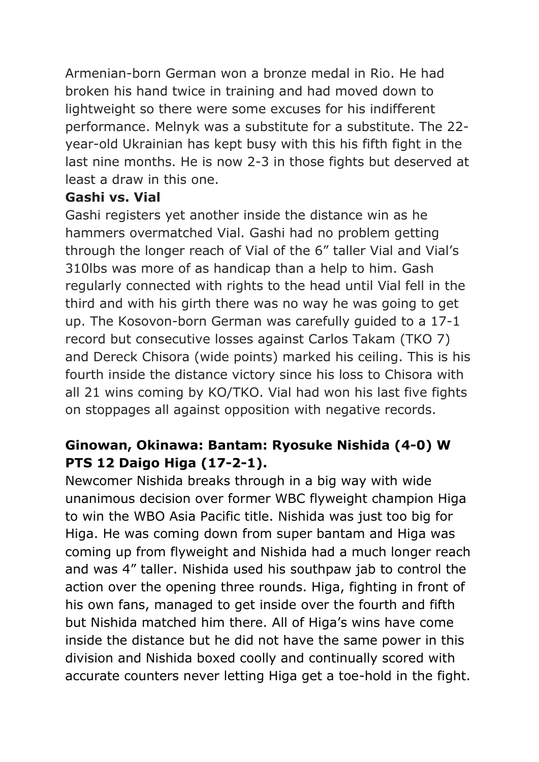Armenian-born German won a bronze medal in Rio. He had broken his hand twice in training and had moved down to lightweight so there were some excuses for his indifferent performance. Melnyk was a substitute for a substitute. The 22 year-old Ukrainian has kept busy with this his fifth fight in the last nine months. He is now 2-3 in those fights but deserved at least a draw in this one.

#### **Gashi vs. Vial**

Gashi registers yet another inside the distance win as he hammers overmatched Vial. Gashi had no problem getting through the longer reach of Vial of the 6" taller Vial and Vial's 310lbs was more of as handicap than a help to him. Gash regularly connected with rights to the head until Vial fell in the third and with his girth there was no way he was going to get up. The Kosovon-born German was carefully guided to a 17-1 record but consecutive losses against Carlos Takam (TKO 7) and Dereck Chisora (wide points) marked his ceiling. This is his fourth inside the distance victory since his loss to Chisora with all 21 wins coming by KO/TKO. Vial had won his last five fights on stoppages all against opposition with negative records.

# **Ginowan, Okinawa: Bantam: Ryosuke Nishida (4-0) W PTS 12 Daigo Higa (17-2-1).**

Newcomer Nishida breaks through in a big way with wide unanimous decision over former WBC flyweight champion Higa to win the WBO Asia Pacific title. Nishida was just too big for Higa. He was coming down from super bantam and Higa was coming up from flyweight and Nishida had a much longer reach and was 4" taller. Nishida used his southpaw jab to control the action over the opening three rounds. Higa, fighting in front of his own fans, managed to get inside over the fourth and fifth but Nishida matched him there. All of Higa's wins have come inside the distance but he did not have the same power in this division and Nishida boxed coolly and continually scored with accurate counters never letting Higa get a toe-hold in the fight.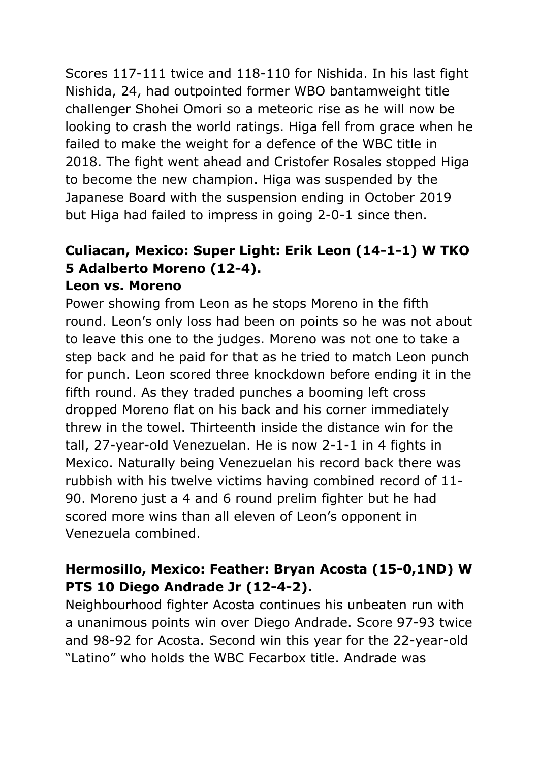Scores 117-111 twice and 118-110 for Nishida. In his last fight Nishida, 24, had outpointed former WBO bantamweight title challenger Shohei Omori so a meteoric rise as he will now be looking to crash the world ratings. Higa fell from grace when he failed to make the weight for a defence of the WBC title in 2018. The fight went ahead and Cristofer Rosales stopped Higa to become the new champion. Higa was suspended by the Japanese Board with the suspension ending in October 2019 but Higa had failed to impress in going 2-0-1 since then.

#### **Culiacan, Mexico: Super Light: Erik Leon (14-1-1) W TKO 5 Adalberto Moreno (12-4). Leon vs. Moreno**

Power showing from Leon as he stops Moreno in the fifth round. Leon's only loss had been on points so he was not about to leave this one to the judges. Moreno was not one to take a step back and he paid for that as he tried to match Leon punch for punch. Leon scored three knockdown before ending it in the fifth round. As they traded punches a booming left cross dropped Moreno flat on his back and his corner immediately threw in the towel. Thirteenth inside the distance win for the tall, 27-year-old Venezuelan. He is now 2-1-1 in 4 fights in Mexico. Naturally being Venezuelan his record back there was rubbish with his twelve victims having combined record of 11- 90. Moreno just a 4 and 6 round prelim fighter but he had scored more wins than all eleven of Leon's opponent in Venezuela combined.

### **Hermosillo, Mexico: Feather: Bryan Acosta (15-0,1ND) W PTS 10 Diego Andrade Jr (12-4-2).**

Neighbourhood fighter Acosta continues his unbeaten run with a unanimous points win over Diego Andrade. Score 97-93 twice and 98-92 for Acosta. Second win this year for the 22-year-old "Latino" who holds the WBC Fecarbox title. Andrade was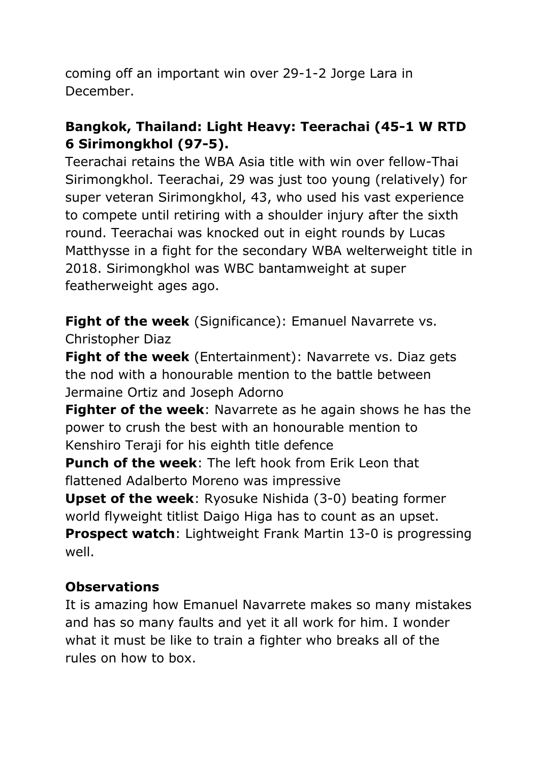coming off an important win over 29-1-2 Jorge Lara in December.

# **Bangkok, Thailand: Light Heavy: Teerachai (45-1 W RTD 6 Sirimongkhol (97-5).**

Teerachai retains the WBA Asia title with win over fellow-Thai Sirimongkhol. Teerachai, 29 was just too young (relatively) for super veteran Sirimongkhol, 43, who used his vast experience to compete until retiring with a shoulder injury after the sixth round. Teerachai was knocked out in eight rounds by Lucas Matthysse in a fight for the secondary WBA welterweight title in 2018. Sirimongkhol was WBC bantamweight at super featherweight ages ago.

**Fight of the week** (Significance): Emanuel Navarrete vs. Christopher Diaz

**Fight of the week** (Entertainment): Navarrete vs. Diaz gets the nod with a honourable mention to the battle between Jermaine Ortiz and Joseph Adorno

**Fighter of the week**: Navarrete as he again shows he has the power to crush the best with an honourable mention to Kenshiro Teraji for his eighth title defence

**Punch of the week**: The left hook from Erik Leon that flattened Adalberto Moreno was impressive

**Upset of the week**: Ryosuke Nishida (3-0) beating former world flyweight titlist Daigo Higa has to count as an upset.

**Prospect watch**: Lightweight Frank Martin 13-0 is progressing well.

### **Observations**

It is amazing how Emanuel Navarrete makes so many mistakes and has so many faults and yet it all work for him. I wonder what it must be like to train a fighter who breaks all of the rules on how to box.